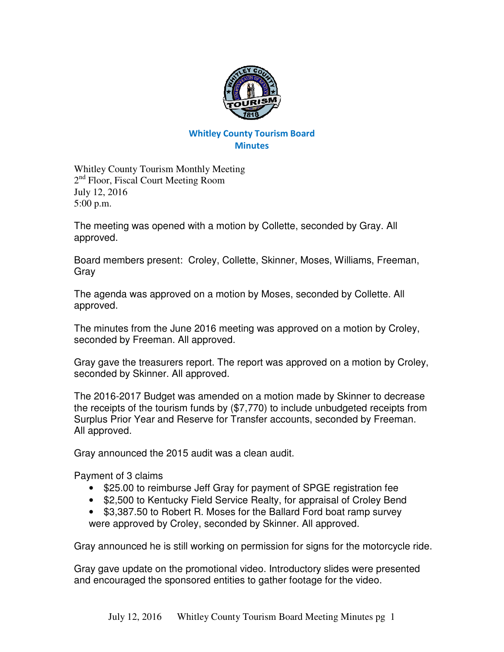

## Whitley County Tourism Board **Minutes**

Whitley County Tourism Monthly Meeting 2<sup>nd</sup> Floor, Fiscal Court Meeting Room July 12, 2016 5:00 p.m.

The meeting was opened with a motion by Collette, seconded by Gray. All approved.

Board members present: Croley, Collette, Skinner, Moses, Williams, Freeman, Gray

The agenda was approved on a motion by Moses, seconded by Collette. All approved.

The minutes from the June 2016 meeting was approved on a motion by Croley, seconded by Freeman. All approved.

Gray gave the treasurers report. The report was approved on a motion by Croley, seconded by Skinner. All approved.

The 2016-2017 Budget was amended on a motion made by Skinner to decrease the receipts of the tourism funds by (\$7,770) to include unbudgeted receipts from Surplus Prior Year and Reserve for Transfer accounts, seconded by Freeman. All approved.

Gray announced the 2015 audit was a clean audit.

Payment of 3 claims

- \$25.00 to reimburse Jeff Gray for payment of SPGE registration fee
- \$2,500 to Kentucky Field Service Realty, for appraisal of Croley Bend
- \$3,387.50 to Robert R. Moses for the Ballard Ford boat ramp survey were approved by Croley, seconded by Skinner. All approved.

Gray announced he is still working on permission for signs for the motorcycle ride.

Gray gave update on the promotional video. Introductory slides were presented and encouraged the sponsored entities to gather footage for the video.